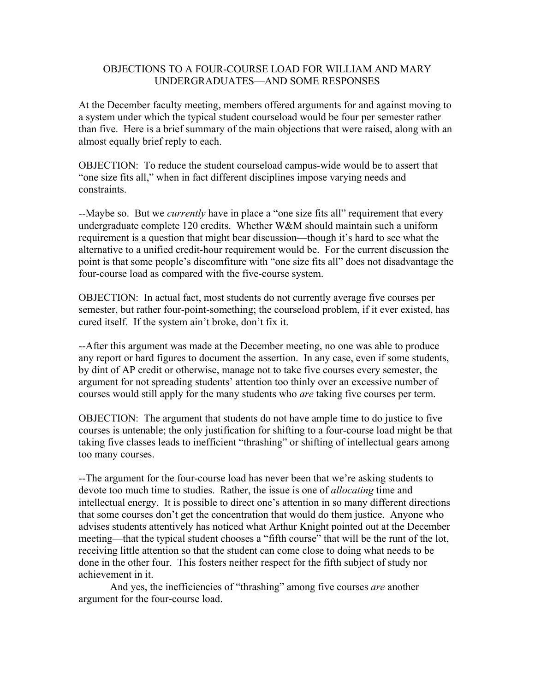## OBJECTIONS TO A FOUR-COURSE LOAD FOR WILLIAM AND MARY UNDERGRADUATES—AND SOME RESPONSES

At the December faculty meeting, members offered arguments for and against moving to a system under which the typical student courseload would be four per semester rather than five. Here is a brief summary of the main objections that were raised, along with an almost equally brief reply to each.

OBJECTION: To reduce the student courseload campus-wide would be to assert that "one size fits all," when in fact different disciplines impose varying needs and constraints.

--Maybe so. But we *currently* have in place a "one size fits all" requirement that every undergraduate complete 120 credits.Whether W&M should maintain such a uniform requirement is a question that might bear discussion—though it's hard to see what the alternative to a unified credit-hour requirement would be. For the current discussion the point is that some people's discomfiture with "one size fits all" does not disadvantage the four-course load as compared with the five-course system.

OBJECTION: In actual fact, most students do not currently average five courses per semester, but rather four-point-something; the courseload problem, if it ever existed, has cured itself. If the system ain't broke, don't fix it.

--After this argument was made at the December meeting, no one was able to produce any report or hard figures to document the assertion. In any case, even if some students, by dint of AP credit or otherwise, manage not to take five courses every semester, the argument for not spreading students' attention too thinly over an excessive number of courses would still apply for the many students who *are* taking five courses per term.

OBJECTION: The argument that students do not have ample time to do justice to five courses is untenable; the only justification for shifting to a four-course load might be that taking five classes leads to inefficient "thrashing" or shifting of intellectual gears among too many courses.

--The argument for the four-course load has never been that we're asking students to devote too much time to studies. Rather, the issue is one of *allocating* time and intellectual energy. It is possible to direct one's attention in so many different directions that some courses don't get the concentration that would do them justice. Anyone who advises students attentively has noticed what Arthur Knight pointed out at the December meeting—that the typical student chooses a "fifth course" that will be the runt of the lot, receiving little attention so that the student can come close to doing what needs to be done in the other four. This fosters neither respect for the fifth subject of study nor achievement in it.

 And yes, the inefficiencies of "thrashing" among five courses *are* another argument for the four-course load.